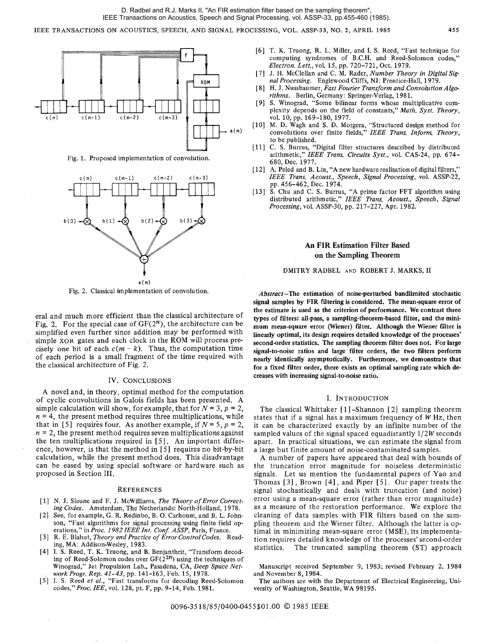IEEE TRANSACTIONS ON ACOUSTICS, SPEECH, AND SIGNAL PROCESSING, VOL. ASSP-33, NO. **2,** APRIL 1985 **455** 



Fig. 1. Proposed implementation of convolution.



Fig. 2. Classical implementation of convolution.

era1 and much more efficient than the classical architecture of Fig. *2,* For the special case of *GF(2n),* the architecture can be simplified even further since addition may be performed with simple XOR gates and each clock in the ROM will process precisely one bit of each  $c(m - k)$ . Thus, the computation time of each period is a small fragment of the time required with the classical architecture of Fig. 2.

# IV. CONCLUSIONS

A novel and, in theory, optimal method for the computation of cyclic convolutions in Galois fields has been presented. **A**  simple calculation will show, for example, that for  $N = 3$ ,  $p = 2$ ,  $n = 4$ , the present method requires three multiplications, while that in [5] requires four. As another example, if  $N = 5$ ,  $p = 2$ ,  $n = 2$ , the present method requires seven multiplications against the ten multiplications required in [5]. An important difference, however, is that the method in [5] requires no bit-by-bit calculation, while the present method does. This disadvantage can be eased by using special software or hardware such as proposed in Section 111.

## **REFERENCES**

- [ 11 N. J. Sloane and F. J. McWilliams, *The Theory of Error Correcting Codes.* Amsterdam, The Netherlands: North-Holland, 1978.
- [2] See, for example, G. R. Redinbo, B. 0. Carhoum, and B. L. Johnson, "Fast algorithms for signal processing using finite field operations," in *Proc. 1982IEEEInt. Con5 ASSP,* Paris, France.
- [3] R. E. Blahut. *Theory and Practice of Error Control Codes.* Reading, MA: Addison-Wesley, 1983.
- [4] I. S. Reed, T. K. Truong, and B. Benjanthrit, "Transform decoding of Reed-Solomon codes over **GF(22n)** using the techniques of Winograd," Jet Propulsion Lab., Pasadena, CA, *Deep Space Network Progr. Rep. 41-43,* pp. 141-163, Feb. 15, 1978.
- [5] I. S. Reed *et al.*, "Fast transforms for decoding Reed-Solomon codes," *Proc. IEE,* vol. 128, pt. F, pp. 9-14, Feb. 1981.
- [6] T. K. Truong, R. L. Miller, and I. S. Reed, "Fast technique for computing syndromes of B.C.H. and Reed-Solomon codes," *Electron. Lett.,vol.* 15, pp. 720-721, Oct. 1979.
- [ 71 J. H. McClellan and C. M. Rader, *Number Theory in Digital Signal Processing.* Englewood Cliffs, NJ: Prentice-Hall, 1979.
- [8] H. J. Nussbaumer, *Fast Fourier Transform and Convolution Algo-*
- *rithms.* Berlin, Germany: Springer-Verlag, 1981. [9] S. Winograd, "Some bilinear forms whose multiplicative com- plexity depends on the field of constants," *Math. Syst. Theory,*  vol. 10, pp. 169-180, 1977.
- [lo] M. D. Wagh and S. D. Morgera, "Structured design method for convolutions over finite fields," *IEEE Trans. Inform. Theory,*  to be published.
- [ll] C. S. Burrus, "Digital filter structures described by distributed arithmetic," *IEEE Trans. Circuits Syst.,* vol. CAS-24, pp. 674- 680, Dec. 1977.
- [12] **A.** Peled and B. Liu, "A new hardware realisation of digital filters," *IEEE Trans. Acoust., Speech, Signal Processing,* vol. ASSP-22, pp. 456-462, Dec. 1974.
- [13] S. Chu and C. S. Burrus, "A prime factor FFT algorithm using distributed arithmetic," *ZEEE Trans. Acoust., Speech, Signal Processing,* vol. ASSP-30, pp. 217-227, Apr. 1982.

# **An FIR Estimation Filter Based on the Sampling Theorem**

## DMITRY RADBEL **AND** ROBERT J. MARKS, I1

Abstract-The estimation of noise-perturbed bandlimited stochastic signal samples by FIR filtering is considered. The mean-square error of the estimate is used as the criterion of performance. We contrast three types of filters: all-pass, a sampling-theorem-based filter, and the minimum mean-square error (Wiener) filter. Although the Wiener filter is linearly optimal, its design requires detailed knowledge of the processes' second-order statistics. The sampling theorem filter does not. For large signal-to-noise ratios and large filter orders, the two filters perform nearly identically asymptotically. Furthermore, we demonstrate that for a fixed filter order, there exists an optimal sampling rate which decreases with increasing signal-to-noise ratio.

# I. INTRODUCTION

The classical Whittaker [1]-Shannon [2] sampling theorem states that if a signal has a maximum frequency of *W* Hz, then it can be characterized exactly by an infinite number of the sampled values of the signal spaced equadistantly *1/2W* seconds apart. In practical situations, we can estimate the signal from a large but finite amount of noise-contaminated samples.

A number of papers have appeared that deal with bounds of the truncation error magnitude for noiseless deterministic signals. Let us mention the fundamental papers of Yao and Thomas  $[3]$ , Brown  $[4]$ , and Piper  $[5]$ . Our paper treats the signal stochastically and deals with truncation (and noise) error using a mean-square error (rather than error magnitude) as a measure of the restoration performance. We explore the cleaning of data samples with *FIR* filters based on the sampling theorem and the Wiener filter. Although the latter is optimal in minimizing mean-square error (MSE), its implementation requires detailed knowledge of the processes' second-order statistics. The truncated sampling theorem (ST) approach

Manuscript received September 9, 1983; revised February 2, 1984 and November 8,1984.

The authors are with the Department of Electrical Engineering, University of Washington, Seattle, WA 98195.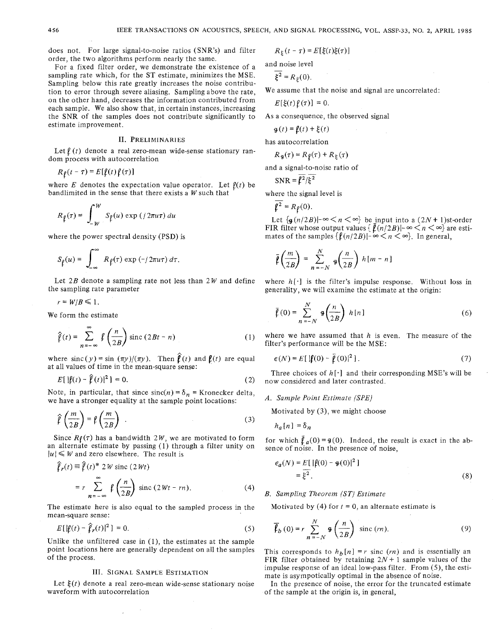does not. For large signal-to-noise ratios (SNR's) and filter order, the two algorithms perform nearly the same.

For a fixed filter order, we demonstrate the existence of a argumpling rate which, for the ST estimate, minimizes the MSE. sampling rate which, for the ST estimate, minimizes the MSE.<br>Sampling below this rate greatly increases the noise contribu-<br>tion to error through severe aliasing. Sampling above the rate. We assume that the noise and sign tion to error through severe aliasing. Sampling above the rate, on the other hand, decreases the information contributed from each sample. We also show that, in certain instances, increasing  $E[(\zeta(t), \zeta(t))]$  of the samples does not contribute significantly to As a consequence, the observed signal the SNR of the samples does not contribute significantly to estimate improvement.

# 11. PRELIMINARIES

Let  $\ell$  (t) denote a real zero-mean wide-sense stationary random process with autocorrelation

$$
R_{\ell}(t-\tau) = E[\ell(t)\ell(\tau)]
$$

where E denotes the expectation value operator. Let  $\ell(t)$  be bandlimited in the sense that there exists a  $W$  such that

$$
R_\ell(\tau) = \int_{-W}^W S_\ell(u) \exp{(j2\pi u \tau)} du
$$

where the power spectral density (PSD) is

$$
S_{\rho}(u) = \int_{-\infty}^{\infty} R_{\rho}(\tau) \exp(-j 2\pi u \tau) d\tau.
$$

Let 2B denote a sampling rate not less than 2W and define where  $h[\cdot]$  is the filter's impulse response. Without loss in the sampling rate parameter generality, we will examine the estimate at the origin:

 $r = W/B \leq 1$ .

We form the estimate

$$
\hat{\mathcal{V}}(t) = \sum_{n=-\infty}^{\infty} \mathcal{V}\left(\frac{n}{2B}\right) \operatorname{sinc}\left(2Bt - n\right) \tag{1}
$$

where  $\text{sinc}(y) = \sin(\pi y)/(\pi y)$ . Then  $\hat{\beta}(t)$  and  $\beta(t)$  are equal  $\epsilon(N) = E[\|\hat{\beta}(0) - \bar{\beta}(0)\|^2]$ . (7) at all values of time in the mean-square sense:<br>Three choices of  $h[\cdot]$  and their corresponding MSE's will be

$$
E[|\mathbf{f}(t) - \mathbf{\hat{f}}(t)|^2] = 0. \tag{2}
$$

Note, in particular, that since  $sinc(n) = \delta_n$  = Kronecker delta, we have a stronger equality at the sample point locations:  $A.$  *Sample Point Estimate (SPE)* 

$$
\hat{\ell}\left(\frac{m}{2B}\right) = \ell\left(\frac{m}{2B}\right) \tag{3}
$$

Since  $R\rho(\tau)$  has a bandwidth 2W, we are motivated to form for which  $\bar{\rho}_a(0) = 9(0)$ . Indeed, the result is exact in the ab-<br>an alternate estimate by passing (1) through a filter unity on sence of noise. In the presenc an alternate estimate by passing  $(1)$  through a filter unity on

$$
\hat{\mathcal{V}}_r(t) \equiv \hat{\mathcal{V}}(t)^* 2W \operatorname{sinc} (2Wt)
$$
  
=  $r \sum_{n=-\infty}^{\infty} \hat{\mathcal{V}}\left(\frac{n}{2B}\right) \operatorname{sinc} (2Wt - rn).$  (4)

The estimate here is also equal to the sampled process in the mean-square sense:

$$
E[|\ell(t) - \hat{\ell}_r(t)|^2] = 0.
$$
 (5)

Unlike the unfiltered case in (I), the estimates at the sample point locations here are generally dependent on all the samples of the process.

## 111. SIGNAL SAMPLE ESTIMATION

Let  $\xi(t)$  denote a real zero-mean wide-sense stationary noise waveform with autocorrelation

$$
R_{\xi}(t-\tau) = E[\xi(t)\xi(\tau)]
$$

and noise level 
$$
\frac{1}{\sqrt{2}}
$$

$$
E[\xi(t)\ell(\tau)]=0.
$$

$$
\mathbf{g}(t) = \mathbf{f}(t) + \mathbf{\xi}(t)
$$

has autocorrelation

$$
R_{\mathfrak{g}}(\tau) = R_{\mathfrak{f}}(\tau) + R_{\xi}(\tau)
$$

and a signal-to-noise ratio of

$$
SNR = \ell^2/\xi^2
$$

where the signal level is

$$
\overline{\mathfrak{\ell}^2}=R_{\mathfrak{\ell}}(0).
$$

Let  $\{g(n/2B)|-\infty\leq n\leq \infty\}$  be input into a  $(2N+1)$ st-order FIR filter whose output values  $\left\{ \bar{\mathbf{f}}(n/2B)|-\infty\leq n\leq\infty\right\}$  are estimates of the samples  $\{ \mathcal{L}(n/2B) | -\infty < n < \infty \}$ . In general,

$$
\bar{\mathfrak{p}}\left(\frac{m}{2B}\right)=\sum_{n=-N}^{N}\;g\!\left(\frac{n}{2B}\right)\,h\left[m-n\right]
$$

generality, we will examine the estimate at the origin:

$$
\bar{\ell}(0) = \sum_{n=-N}^{N} \mathbf{g}\left(\frac{n}{2B}\right) h[n] \tag{6}
$$

where we have assumed that  $h$  is even. The measure of the filter's performance will be the MSE:

$$
\epsilon(N) = E\left[\left|\ell(0) - \ell(0)\right|^2\right].\tag{7}
$$

now considered and later contrasted.

Motivated by (3), we might choose

$$
h_a[n] = \delta_n
$$

$$
\epsilon_a(N) = E[ |\mathbf{\ell}(0) - \mathbf{g}(0)|^2 ]
$$
  
=  $\xi^2$ . (8)

## (4) *B.* Sampling Theorem (ST) Estimate

Motivated by (4) for  $t = 0$ , an alternate estimate is

$$
\overline{\mathbf{f}}_{b}(0) = r \sum_{n=-N}^{N} \mathbf{\Phi}\left(\frac{n}{2B}\right) \text{ sinc}(rn). \tag{9}
$$

This corresponds to  $h_b[n] = r$  sinc (*m*) and is essentially an FIR filter obtained by retaining  $2N + 1$  sample values of the impulse response of an ideal low-pass filter. From (S), the estimate is asympotically optimal in the absence of noise.

In the presence of noise, the error for the truncated estimate of the sample at the origin is, in general,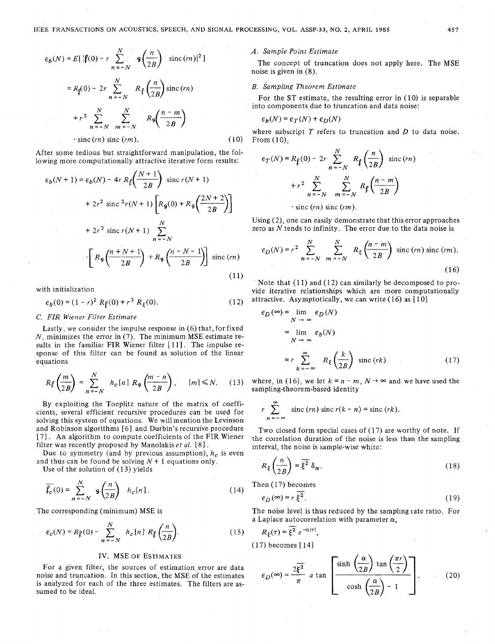$$
\epsilon_b(N) = E[ |\mathbf{f}(0) - r \sum_{n = -N}^{N} \mathbf{g} \left( \frac{n}{2B} \right) \text{ sinc}(m) |^2 ]
$$
  

$$
= R_{\mathbf{f}}(0) - 2r \sum_{n = -N}^{N} R_{\mathbf{f}} \left( \frac{n}{2B} \right) \text{sinc}(rn)
$$
  

$$
+ r^2 \sum_{n = -N}^{N} \sum_{m = -N}^{N'} R_{\mathbf{g}} \left( \frac{n - m}{2B} \right)
$$
  
since  $(rn)$  sinc( $rm$ ). (10)

After some tedious but straightforward manipulation, the following more computationally attractive iterative form results:

$$
\sum_{n=-N}^{N} \sum_{m=-N}^{N} \sum_{n=0}^{N} \binom{Nq}{2B}
$$
\n
$$
\sum_{n=0}^{N} \sum_{m=-N}^{N} \binom{Nq}{2B}
$$
\n
$$
\sum_{n=0}^{N} \binom{N(n+1)}{2B} = \sum_{n=0}^{N} \sum_{n=0}^{N} \sum_{n=0}^{N} \sum_{n=0}^{N} \sum_{n=0}^{N} \binom{N+1}{2B}
$$
\n
$$
+ 2r^{2} \sin c^{2}r(N+1) \left[ R_{g}(0) + R_{g}\left(\frac{2N+2}{2B}\right) \right]
$$
\n
$$
+ 2r^{2} \sin c r(N+1) \sum_{n=-N}^{N} \sum_{n=0}^{N} \left[ R_{g}\left(\frac{n+N+1}{2B}\right) + R_{g}\left(\frac{n-N-1}{2B}\right) \right] \sin c (rn)
$$
\n
$$
\sum_{n=0}^{N} \binom{N+1}{2B} \left( \frac{n+N-1}{2B} \right) \sin c (rn)
$$
\n
$$
(11)
$$

with initialization

$$
\epsilon_b(0) = (1 - r)^2 R\varrho(0) + r^2 R_\xi(0). \tag{12}
$$

## C. FIR Wiener Filter Estimate

Lastly. we consider the impulse response in (6) that, for fixed  $N$ , minimizes the error in (7). The minimum MSE estimate results in the familiar FIR Wiener filter [11]. The impulse response of this filter can be found as solution of the linear

$$
R\ell\left(\frac{m}{2B}\right) = \sum_{n=-N}^{N} h_c[n] R_{\varphi}\left(\frac{m-n}{2B}\right), \quad |m| \le N. \tag{13}
$$

By exploiting the Toeplitz nature of the matrix of coefficients, several efficient recursive procedures can be used for solving this system of equations. We will mention the Levinson and Robinson algorithms [6] and Durbin's recursive procedure and Robinson algorithms [6] and Durbin's recursive procedure Two closed form special cases of (17) are worthy of note. If  $[7]$ . An algorithm to compute coefficients of the FIR Wiener the correlation duration of the noise

Due to symmetry (and by previous assumption),  $h_c$  is even

$$
\overline{\mathcal{J}_c}(0) = \sum_{n=-N}^{N} \mathfrak{g}\left(\frac{n}{2B}\right) \quad h_c[n].
$$
 (14)

The corresponding (minimum) MSE is

-.

$$
\epsilon_c(N) = R\varphi(0) - \sum_{n=-N}^{N} h_c[n] R\varphi\left(\frac{n}{2B}\right).
$$
 (15)  $R_{\xi}(\tau) = \overline{\xi^2} e^{-\alpha|\tau|}$   
(17) becomes [14]  
IV. MSE of Estimates  
For a given filter, the sources of estimation error are data

noise and truncation. In this section, the MSE of the estimates is analyzed for each of the three estimates. The filters are as-  $\pi$ noise and truncation. In this section, the MSE of the estimates  $\epsilon_D(\infty) = \frac{2\xi}{\pi}$  a tan is analyzed for each of the three estimates. The filters are assumed to be ideal.

## **IV** *A.* Sample Point Estimate

The concept of truncation does not apply here. The MSE noise is given in (8).

# B. Sampling Theorem Estimate

For the ST estimate, the resulting error in ( 10) is separable into components due to truncation and data noise:

$$
\epsilon_b(N) = \epsilon_T(N) + \epsilon_D(N)
$$

where subscript  $T$  refers to truncation and  $D$  to data noise. **(b)** From (10).

$$
\epsilon_T(N) = R_{\rho}(0) - 2r \sum_{n = -N}^{N} R_{\rho} \left(\frac{n}{2B}\right) \text{ sinc}(rn)
$$

$$
+ r^2 \sum_{n = -N}^{N} \sum_{m = -N}^{N} R_{\rho} \left(\frac{n - m}{2B}\right)
$$

$$
\text{ sinc}(rn) \text{ sinc}(rm).
$$

*<sup>N</sup>*Using (2), one can easily demonstrate that this error approaches zero as  $N$  tends to infinity. The error due to the data noise is

$$
R_{\mathfrak{g}}\left(\frac{n-N-1}{2B}\right) \text{ sinc}(rn) \qquad \epsilon_D(N) = r^2 \sum_{n=-N}^{N} \sum_{m=-N}^{N} R_{\xi}\left(\frac{n-m}{2B}\right) \text{ sinc}(rn) \text{ sinc}(rm).
$$
\n(16)

Note that  $(11)$  and  $(12)$  can similarly be decomposed to provide iterative relationships which are more computationally attractive. Asymptotically, we can write (16) as  $[10]$ 

*C. FIR Wiener Filter Estimate*  
\nLastly, we consider the impulse response in (6) that, for fixed  
\n*N*, minimizes the error in (7). The minimum MSE estimate re-  
\nsults in the familiar FIR Wiener filter [11]. The impulse re-  
\nsquares of this filter can be found as solution of the linear  
\nequations\n
$$
r \sum_{k=-\infty}^{\infty} R_{\xi} \left( \frac{k}{2B} \right) \text{ sinc}(rk)
$$
\n(17)

where, in (16), we let  $k = n-m$ ,  $N \rightarrow \infty$  and we have used the sampling-theorem-based identity

$$
r \sum_{n=-\infty}^{\infty} \operatorname{sinc}(rn) \operatorname{sinc} r(k - n) = \operatorname{sinc}(rk).
$$

[7]. An algorithm to compute coefficients of the FIR wiener the correlation duration of the noise is less than the sampling filter was recently proposed by Manolakis *et al.* [8]. interval, the noise is sample-wise white:

and thus can be found be solving 
$$
N + 1
$$
 equations only.  
Use of the solution of (13) yields 
$$
R_{\xi}\left(\frac{n}{2B}\right) = \overline{\xi^2} \delta_n.
$$
 (18)

Then  $(17)$  becomes

(14) Then (17) becomes  
\n
$$
\epsilon_D(\infty) = r \frac{z^2}{\xi^2}.
$$
\n(19)

The noise level is thus reduced by the sampling rate ratio. For<br>
a Laplace autocorrelation with parameter  $\alpha$ ,<br>
(15)  $R_{\xi}(\tau) = \frac{\xi^2}{\xi^2} e^{-\alpha |\tau|}$ ,

$$
R_{\xi}(\tau) = \overline{\xi^2} e^{-\alpha|\tau|},
$$
  
(17) becomes [14]

$$
\epsilon_D(\infty) = \frac{2\xi^2}{\pi} a \tan \left[\frac{\sinh\left(\frac{\alpha}{2B}\right) \tan\left(\frac{\pi r}{2}\right)}{\cosh\left(\frac{\alpha}{2B}\right) - 1}\right].
$$
 (20)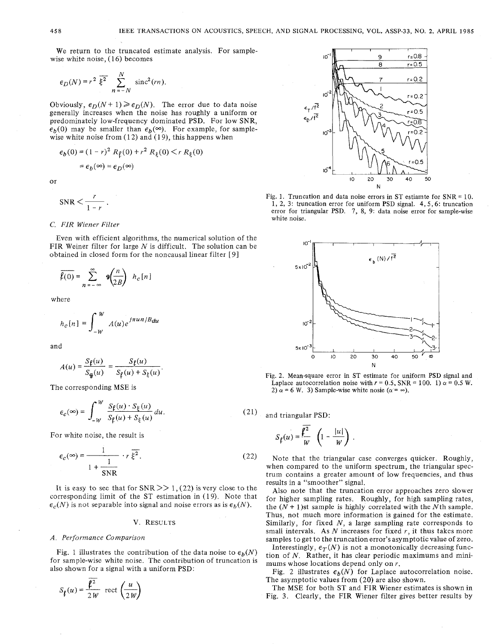We return to the truncated estimate analysis. For samplewise white noise, ( *16)* becomes

$$
\epsilon_D(N) = r^2 \overline{\xi^2} \sum_{n=-N}^{N} \text{sinc}^2(rn).
$$

Obviously,  $\epsilon_D(N + 1) \geq \epsilon_D(N)$ . The error due to data noise generally increases when the noise has roughly a uniform or predominately low-frequency dominated PSD. For low SNR,  $\epsilon_b(0)$  may be smaller than  $\epsilon_b(\infty)$ . For example, for samplewise white noise from (12) and (19), this happens when

$$
\epsilon_b(0) = (1 - r)^2 R_\ell(0) + r^2 R_\xi(0) < r R_\xi(0)
$$
\n
$$
= \epsilon_b(\infty) = \epsilon_D(\infty)
$$

 $\alpha$ r

$$
SNR < \frac{r}{1-r} \, .
$$

# *C. FIR Wiener Filter*

Even with efficient algorithms, the numerical solution of the FIR Weiner filter for large *N* is difficult. The solution can be obtained in closed form for the noncausal linear filter *[9]* 

$$
\overline{f(0)} = \sum_{n = -\infty}^{\infty} \mathbf{9} \left( \frac{n}{2B} \right) h_c[n]
$$

where

$$
h_c[n] = \int_{-W}^{W} A(u)e^{j\pi u n/B} du
$$

and

$$
A(u) = \frac{S_{\ell}(u)}{S_{\mathbf{g}}(u)} = \frac{S_{\ell}(u)}{S_{\ell}(u) + S_{\xi}(u)}.
$$

The corresponding MSE is

$$
\epsilon_c(\infty) = \int_{-W}^{W} \frac{S_{\ell}(u) \cdot S_{\xi}(u)}{S_{\ell}(u) + S_{\xi}(u)} du.
$$

For white noise, the result is  
\n
$$
\epsilon_c(\infty) = \frac{1}{1 + \frac{1}{SNR}} \cdot r \overline{\xi^2}.
$$
\n(22)

It is easy to see that for  $SNR \geq 1$ , (22) is very close to the corresponding limit of the ST estimation in *(1 9).* Note that  $\epsilon_c(N)$  is not separable into signal and noise errors as is  $\epsilon_b(N)$ .

# V. RESULTS

## *A. Performance Comparison*

Fig. 1 illustrates the contribution of the data noise to  $\epsilon_h(N)$ Fig. 1 massiales the contribution of the data holde to  $\epsilon_b(x)$ <br>for sample-wise white noise. The contribution of truncation is<br>also shown for a signal with a uniform PSD:<br> $\frac{a^2}{a^2}$ also shown for a signal with a uniform PSD:

$$
S_{\ell}(u) = \frac{\ell^2}{2W} \ \operatorname{rect}\left(\frac{u}{2W}\right)
$$



Fig. 1. Truncation and data noise errors in ST estiamte for  $SNR = 10$ . 1, 2, **3:** truncation error for uniform PSD signal. 4,5,6: truncation error for triangular PSD. 7, 8, 9: data noise error for sample-wise white noise.



Fig. 2. Mean-square error in ST estimate for uniform PSD signal and Laplace autocorrelation noise with  $r = 0.5$ , SNR = 100. 1)  $\alpha = 0.5$  W. 2)  $\alpha$  = 6 W. 3) Sample-wise white nosie ( $\alpha$  =  $\infty$ ).

21) and triangular PSD:

$$
S_{\mathbf{f}}(u) = \frac{\mathbf{f}^2}{W} \left( 1 - \frac{|u|}{W} \right) .
$$

Note that the triangular case converges quicker. Roughly, when compared to the uniform spectrum, the triangular spectrum contains a greater amount of low frequencies, and thus results in a "smoother" signal.

Also note that the truncation error approaches zero slower for higher sampling rates. Roughly, for high sampling rates, the  $(N + 1)$ st sample is highly correlated with the N<sup>th</sup> sample. Thus, not much more information is gained for the estimate. Similarly, for fixed  $N$ , a large sampling rate corresponds to small intervals. As *N* increases for fixed *r,* it thus takes more samples to get to the truncation error's asymptotic value of zero.

Interestingly,  $\epsilon_T(N)$  is not a monotonically decreasing function of *N.* Rather, it has clear periodic maximums and minimums whose locations depend only on *r.* 

Fig. 2 illustrates  $\epsilon_h(N)$  for Laplace autocorrelation noise. The asymptotic values from *(20)* are also shown.

The MSE for both ST and FIR Wiener estimates is shown in Fig. **3.** Clearly, the FIR Wiener filter gives better results by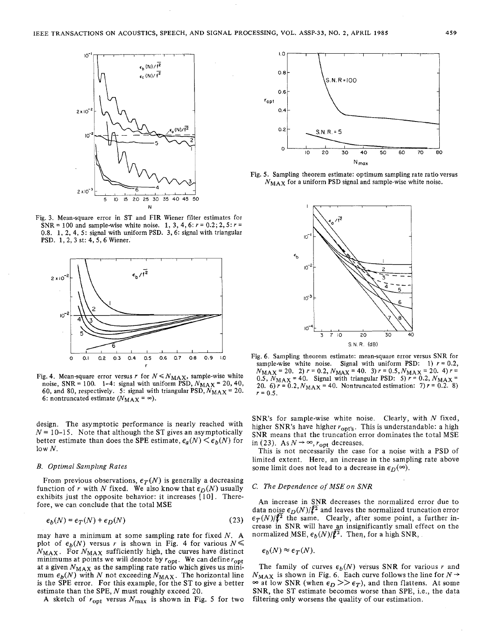

Fig. **3.** Mean-square error in ST and FIR Wiener filter estimates for SNR = 100 and sample-wise white noise. 1, 3, 4, 6:  $r = 0.2$ ; 2, 5:  $r =$ 0.8. 1, 2, 4, 5: signal with uniform PSD. **3,** 6: signal with triangular PSD. 1, 2, **3** st: 4, 5,6 Wiener.



Fig. 4. Mean-square error versus r for  $N \leq N_{MAX}$ , sample-wise white noise, SNR = 100. 1-4: signal with uniform PSD,  $N_{MAX}$  = 20, 40, 60, and 80, respectively. 5: signal with triangular PSD,  $N_{MAX} = 20$ . 6: nontruncated estimate  $(N_{MAX} = \infty)$ .

design. The asymptotic performance is nearly reached with  $N = 10-15$ . Note that although the ST gives an asymptotically better estimate than does the SPE estimate,  $\epsilon_a(N) \leq \epsilon_b(N)$  for  $\log N$ .

#### *B. Optimal Sampling Rates*

From previous observations,  $\epsilon_T(N)$  is generally a decreasing function of r with N fixed. We also know that  $\epsilon_D(N)$  usually exhibits just the opposite behavior: it increases [10]. Therefore, we can conclude that the total MSE

$$
\epsilon_b(N) = \epsilon_T(N) + \epsilon_D(N) \tag{23}
$$

may have a minimum at some sampling rate for fixed  $N$ . A plot of  $\epsilon_b(N)$  versus *r* is shown in Fig. 4 for various  $N \leq$  $N_{MAX}$ . For  $N_{MAX}$  sufficiently high, the curves have distinct minimums at points we will denote by  $r_{\text{opt}}$ . We can define  $r_{\text{opt}}$ at a given  $N_{MAX}$  as the sampling rate ratio which gives us minimum  $\epsilon_h(N)$  with N not exceeding  $N_{MAX}$ . The horizontal line is the SPE error. For this example, for the ST to give a better estimate than the SPE, N must roughly exceed 20.

A sketch of  $r_{\text{opt}}$  versus  $N_{\text{max}}$  is shown in Fig. 5 for two



Fig. 5. Sampling theorem estimate: optimum sampling rate ratio versus  $N_{MAX}$  for a uniform PSD signal and sample-wise white noise.



Fig. 6. Sampling theorem estimate: mean-square error versus SNR for sample-wise white noise. Signal with uniform PSD: 1)  $r = 0.2$ ,  $N_{MAX}$  = 20. 2)  $r = 0.2$ ,  $N_{MAX}$  = 40. 3)  $r = 0.5$ ,  $N_{MAX}$  = 20. 4)  $r =$ 0.5,  $N_{MAX}$  = 40. Signal with triangular PSD: 5)  $r = 0.2$ ,  $N_{MAX}$  = 20. 6)  $r = 0.2$ ,  $N_{MAX} = 40$ . Nontruncated estimation: 7)  $r = 0.2$ . 8)  $r = 0.5$ .

SNR's for sample-wise white noise. Clearly, with  $N$  fixed, higher SNR's have higher  $r_{\text{opt's}}$ . This is understandable: a high SNR means that the truncation error dominates the total MSE in (23). As  $N \rightarrow \infty$ ,  $r_{\text{opt}}$  decreases.

This is not necessarily the case for a noise with a PSD of limited extent. Here, an increase in the sampling rate above some limit does not lead to a decrease in  $\epsilon_D(\infty)$ .

# C. *The Dependence of* MSE *on* SNR

An increase in SNR decreases the normalized error due to data noise  $\epsilon_D(N)/\sqrt{2}$  and leaves the normalized truncation error  $\epsilon_T(N)/\ell^2$  the same. Clearly, after some point, a further increase in SNR will have an insignificantly small effect on the normalized MSE,  $\epsilon_b(N)/\ell^2$ . Then, for a high SNR,

$$
\epsilon_b(N) \approx \epsilon_T(N).
$$

The family of curves  $\epsilon_b(N)$  versus SNR for various r and  $N_{\text{MAX}}$  is shown in Fig. 6. Each curve follows the line for  $N \rightarrow$  $\sum_{i=1}^{n}$  at low SNR (when  $\epsilon_D >> \epsilon_T$ ), and then flattens. At some SNR, the ST estimate becomes worse than SPE, i.e., the data filtering only worsens the quality of our estimation.